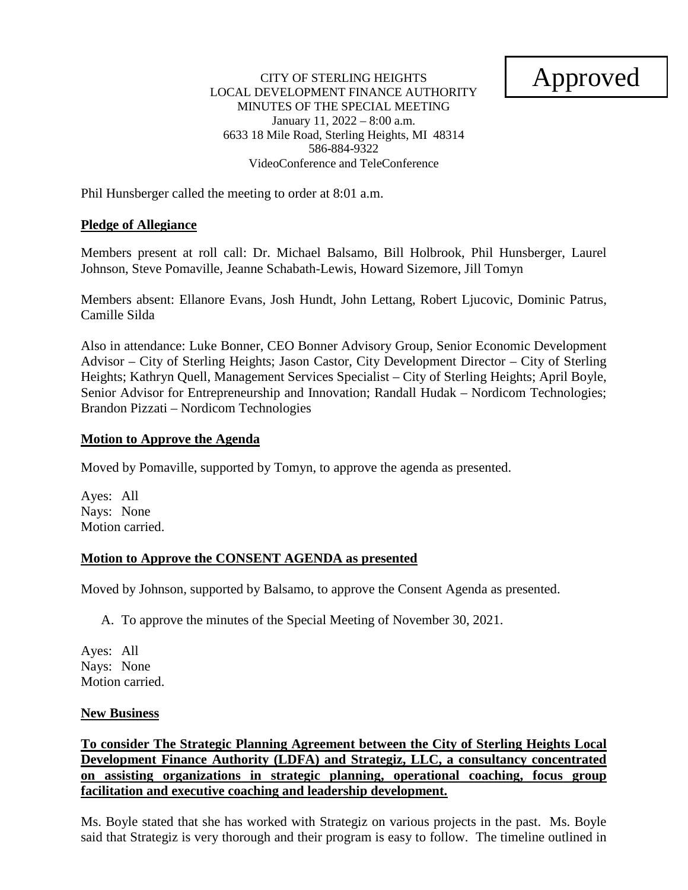# Approved

#### CITY OF STERLING HEIGHTS LOCAL DEVELOPMENT FINANCE AUTHORITY MINUTES OF THE SPECIAL MEETING January 11, 2022 – 8:00 a.m. 6633 18 Mile Road, Sterling Heights, MI 48314 586-884-9322 VideoConference and TeleConference

Phil Hunsberger called the meeting to order at 8:01 a.m.

# **Pledge of Allegiance**

Members present at roll call: Dr. Michael Balsamo, Bill Holbrook, Phil Hunsberger, Laurel Johnson, Steve Pomaville, Jeanne Schabath-Lewis, Howard Sizemore, Jill Tomyn

Members absent: Ellanore Evans, Josh Hundt, John Lettang, Robert Ljucovic, Dominic Patrus, Camille Silda

Also in attendance: Luke Bonner, CEO Bonner Advisory Group, Senior Economic Development Advisor – City of Sterling Heights; Jason Castor, City Development Director – City of Sterling Heights; Kathryn Quell, Management Services Specialist – City of Sterling Heights; April Boyle, Senior Advisor for Entrepreneurship and Innovation; Randall Hudak – Nordicom Technologies; Brandon Pizzati – Nordicom Technologies

## **Motion to Approve the Agenda**

Moved by Pomaville, supported by Tomyn, to approve the agenda as presented.

Ayes: All Nays: None Motion carried.

## **Motion to Approve the CONSENT AGENDA as presented**

Moved by Johnson, supported by Balsamo, to approve the Consent Agenda as presented.

A. To approve the minutes of the Special Meeting of November 30, 2021.

Ayes: All Nays: None Motion carried.

## **New Business**

**To consider The Strategic Planning Agreement between the City of Sterling Heights Local Development Finance Authority (LDFA) and Strategiz, LLC, a consultancy concentrated on assisting organizations in strategic planning, operational coaching, focus group facilitation and executive coaching and leadership development.**

Ms. Boyle stated that she has worked with Strategiz on various projects in the past. Ms. Boyle said that Strategiz is very thorough and their program is easy to follow. The timeline outlined in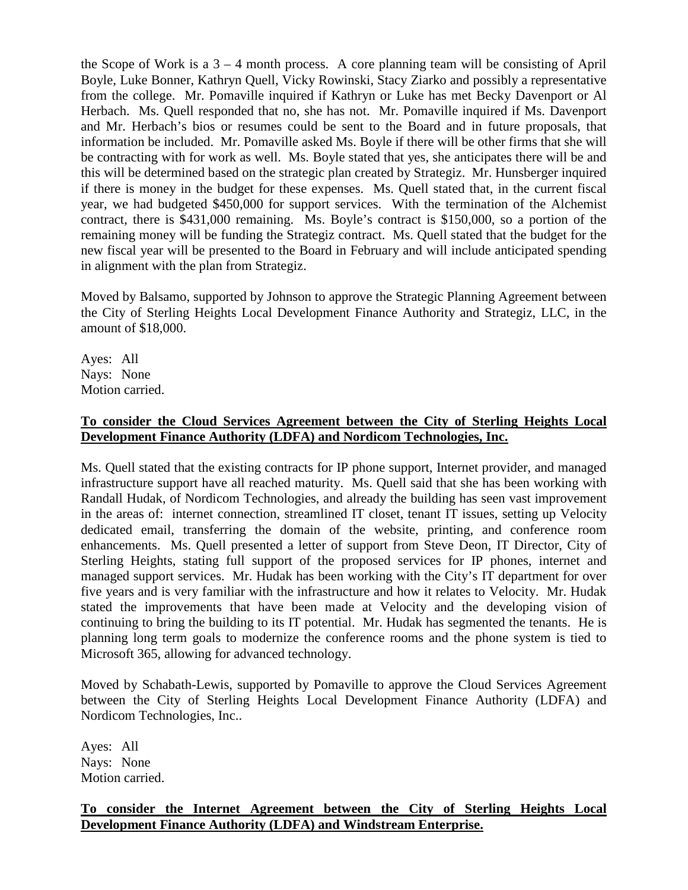the Scope of Work is a  $3 - 4$  month process. A core planning team will be consisting of April Boyle, Luke Bonner, Kathryn Quell, Vicky Rowinski, Stacy Ziarko and possibly a representative from the college. Mr. Pomaville inquired if Kathryn or Luke has met Becky Davenport or Al Herbach. Ms. Quell responded that no, she has not. Mr. Pomaville inquired if Ms. Davenport and Mr. Herbach's bios or resumes could be sent to the Board and in future proposals, that information be included. Mr. Pomaville asked Ms. Boyle if there will be other firms that she will be contracting with for work as well. Ms. Boyle stated that yes, she anticipates there will be and this will be determined based on the strategic plan created by Strategiz. Mr. Hunsberger inquired if there is money in the budget for these expenses. Ms. Quell stated that, in the current fiscal year, we had budgeted \$450,000 for support services. With the termination of the Alchemist contract, there is \$431,000 remaining. Ms. Boyle's contract is \$150,000, so a portion of the remaining money will be funding the Strategiz contract. Ms. Quell stated that the budget for the new fiscal year will be presented to the Board in February and will include anticipated spending in alignment with the plan from Strategiz.

Moved by Balsamo, supported by Johnson to approve the Strategic Planning Agreement between the City of Sterling Heights Local Development Finance Authority and Strategiz, LLC, in the amount of \$18,000.

Ayes: All Nays: None Motion carried.

# **To consider the Cloud Services Agreement between the City of Sterling Heights Local Development Finance Authority (LDFA) and Nordicom Technologies, Inc.**

Ms. Quell stated that the existing contracts for IP phone support, Internet provider, and managed infrastructure support have all reached maturity. Ms. Quell said that she has been working with Randall Hudak, of Nordicom Technologies, and already the building has seen vast improvement in the areas of: internet connection, streamlined IT closet, tenant IT issues, setting up Velocity dedicated email, transferring the domain of the website, printing, and conference room enhancements. Ms. Quell presented a letter of support from Steve Deon, IT Director, City of Sterling Heights, stating full support of the proposed services for IP phones, internet and managed support services. Mr. Hudak has been working with the City's IT department for over five years and is very familiar with the infrastructure and how it relates to Velocity. Mr. Hudak stated the improvements that have been made at Velocity and the developing vision of continuing to bring the building to its IT potential. Mr. Hudak has segmented the tenants. He is planning long term goals to modernize the conference rooms and the phone system is tied to Microsoft 365, allowing for advanced technology.

Moved by Schabath-Lewis, supported by Pomaville to approve the Cloud Services Agreement between the City of Sterling Heights Local Development Finance Authority (LDFA) and Nordicom Technologies, Inc..

Ayes: All Nays: None Motion carried.

# **To consider the Internet Agreement between the City of Sterling Heights Local Development Finance Authority (LDFA) and Windstream Enterprise.**